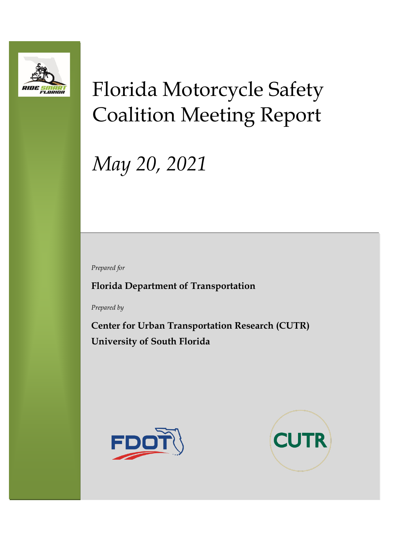

# Florida Motorcycle Safety Coalition Meeting Report

# *May 20, 2021*

*Prepared for*

**Florida Department of Transportation**

*Prepared by*

**Center for Urban Transportation Research (CUTR) University of South Florida**



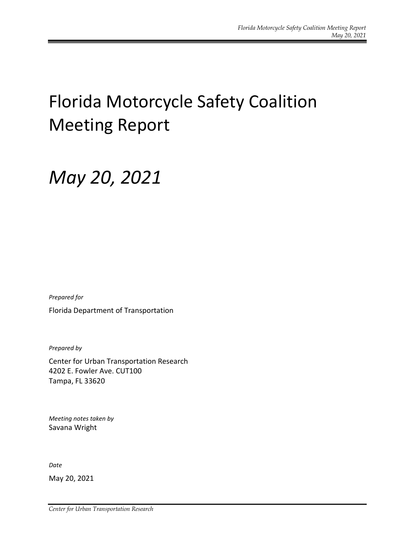## Florida Motorcycle Safety Coalition Meeting Report

## *May 20, 2021*

*Prepared for*

Florida Department of Transportation

*Prepared by*

Center for Urban Transportation Research 4202 E. Fowler Ave. CUT100 Tampa, FL 33620

*Meeting notes taken by* Savana Wright

*Date*

May 20, 2021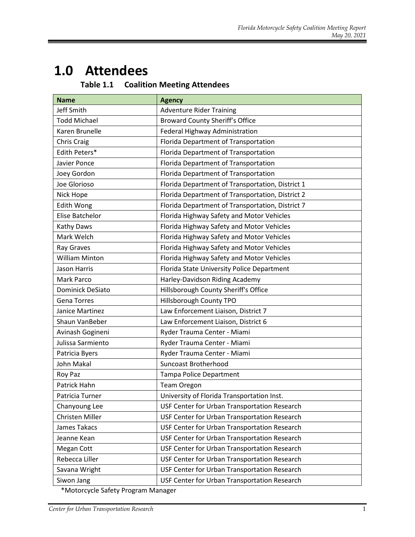### **1.0 Attendees**

| Table 1.1 | <b>Coalition Meeting Attendees</b> |  |
|-----------|------------------------------------|--|
|-----------|------------------------------------|--|

| <b>Name</b>           | <b>Agency</b>                                    |  |
|-----------------------|--------------------------------------------------|--|
| <b>Jeff Smith</b>     | <b>Adventure Rider Training</b>                  |  |
| <b>Todd Michael</b>   | <b>Broward County Sheriff's Office</b>           |  |
| Karen Brunelle        | Federal Highway Administration                   |  |
| Chris Craig           | Florida Department of Transportation             |  |
| Edith Peters*         | Florida Department of Transportation             |  |
| Javier Ponce          | Florida Department of Transportation             |  |
| Joey Gordon           | Florida Department of Transportation             |  |
| Joe Glorioso          | Florida Department of Transportation, District 1 |  |
| Nick Hope             | Florida Department of Transportation, District 2 |  |
| Edith Wong            | Florida Department of Transportation, District 7 |  |
| Elise Batchelor       | Florida Highway Safety and Motor Vehicles        |  |
| Kathy Daws            | Florida Highway Safety and Motor Vehicles        |  |
| Mark Welch            | Florida Highway Safety and Motor Vehicles        |  |
| Ray Graves            | Florida Highway Safety and Motor Vehicles        |  |
| <b>William Minton</b> | Florida Highway Safety and Motor Vehicles        |  |
| Jason Harris          | Florida State University Police Department       |  |
| Mark Parco            | Harley-Davidson Riding Academy                   |  |
| Dominick DeSiato      | Hillsborough County Sheriff's Office             |  |
| <b>Gena Torres</b>    | Hillsborough County TPO                          |  |
| Janice Martinez       | Law Enforcement Liaison, District 7              |  |
| Shaun VanBeber        | Law Enforcement Liaison, District 6              |  |
| Avinash Gogineni      | Ryder Trauma Center - Miami                      |  |
| Julissa Sarmiento     | Ryder Trauma Center - Miami                      |  |
| Patricia Byers        | Ryder Trauma Center - Miami                      |  |
| <b>John Makal</b>     | <b>Suncoast Brotherhood</b>                      |  |
| Roy Paz               | <b>Tampa Police Department</b>                   |  |
| Patrick Hahn          | <b>Team Oregon</b>                               |  |
| Patricia Turner       | University of Florida Transportation Inst.       |  |
| Chanyoung Lee         | USF Center for Urban Transportation Research     |  |
| Christen Miller       | USF Center for Urban Transportation Research     |  |
| James Takacs          | USF Center for Urban Transportation Research     |  |
| Jeanne Kean           | USF Center for Urban Transportation Research     |  |
| Megan Cott            | USF Center for Urban Transportation Research     |  |
| Rebecca Liller        | USF Center for Urban Transportation Research     |  |
| Savana Wright         | USF Center for Urban Transportation Research     |  |
| Siwon Jang            | USF Center for Urban Transportation Research     |  |

\*Motorcycle Safety Program Manager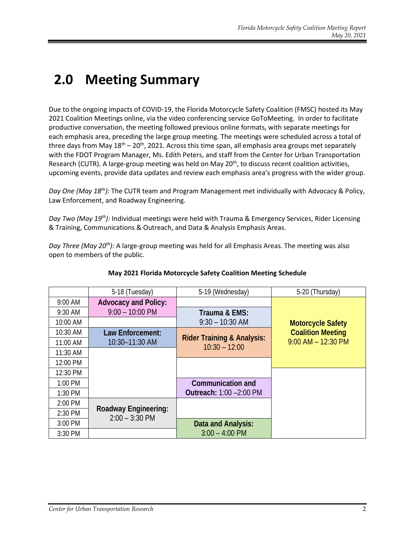### **2.0 Meeting Summary**

Due to the ongoing impacts of COVID-19, the Florida Motorcycle Safety Coalition (FMSC) hosted its May 2021 Coalition Meetings online, via the video conferencing service GoToMeeting. In order to facilitate productive conversation, the meeting followed previous online formats, with separate meetings for each emphasis area, preceding the large group meeting. The meetings were scheduled across a total of three days from May  $18<sup>th</sup> - 20<sup>th</sup>$ , 2021. Across this time span, all emphasis area groups met separately with the FDOT Program Manager, Ms. Edith Peters, and staff from the Center for Urban Transportation Research (CUTR). A large-group meeting was held on May 20<sup>th</sup>, to discuss recent coalition activities, upcoming events, provide data updates and review each emphasis area's progress with the wider group.

*Day One (May 18th):* The CUTR team and Program Management met individually with Advocacy & Policy, Law Enforcement, and Roadway Engineering.

*Day Two (May 19th):* Individual meetings were held with Trauma & Emergency Services, Rider Licensing & Training, Communications & Outreach, and Data & Analysis Emphasis Areas.

*Day Three (May 20th):* A large-group meeting was held for all Emphasis Areas. The meeting was also open to members of the public.

|           | 5-18 (Tuesday)                           | 5-19 (Wednesday)                                         | 5-20 (Thursday)          |
|-----------|------------------------------------------|----------------------------------------------------------|--------------------------|
| 9:00 AM   | <b>Advocacy and Policy:</b>              |                                                          |                          |
| 9:30 AM   | $9:00 - 10:00$ PM                        | Trauma & EMS:                                            |                          |
| 10:00 AM  |                                          | $9:30 - 10:30$ AM                                        | <b>Motorcycle Safety</b> |
| 10:30 AM  | Law Enforcement:                         |                                                          | <b>Coalition Meeting</b> |
| 11:00 AM  | 10:30-11:30 AM                           | <b>Rider Training &amp; Analysis:</b><br>$10:30 - 12:00$ | $9:00$ AM $- 12:30$ PM   |
| 11:30 AM  |                                          |                                                          |                          |
| 12:00 PM  |                                          |                                                          |                          |
| 12:30 PM  |                                          |                                                          |                          |
| 1:00 PM   |                                          | <b>Communication and</b>                                 |                          |
| $1:30$ PM |                                          | <b>Outreach: 1:00 -2:00 PM</b>                           |                          |
| 2:00 PM   |                                          |                                                          |                          |
| 2:30 PM   | Roadway Engineering:<br>$2:00 - 3:30$ PM |                                                          |                          |
| $3:00$ PM |                                          | Data and Analysis:                                       |                          |
| 3:30 PM   |                                          | $3:00 - 4:00$ PM                                         |                          |

#### **May 2021 Florida Motorcycle Safety Coalition Meeting Schedule**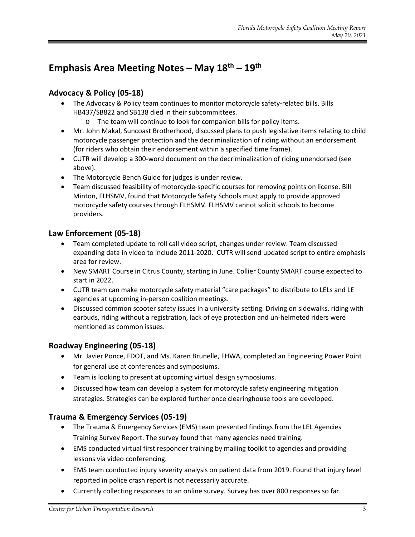#### **Emphasis Area Meeting Notes – May 18th – 19th**

#### **Advocacy & Policy (05-18)**

- The Advocacy & Policy team continues to monitor motorcycle safety-related bills. Bills HB437/SB822 and SB138 died in their subcommittees.
	- o The team will continue to look for companion bills for policy items.
- Mr. John Makal, Suncoast Brotherhood, discussed plans to push legislative items relating to child motorcycle passenger protection and the decriminalization of riding without an endorsement (for riders who obtain their endorsement within a specified time frame).
- CUTR will develop a 300-word document on the decriminalization of riding unendorsed (see above).
- The Motorcycle Bench Guide for judges is under review.
- Team discussed feasibility of motorcycle-specific courses for removing points on license. Bill Minton, FLHSMV, found that Motorcycle Safety Schools must apply to provide approved motorcycle safety courses through FLHSMV. FLHSMV cannot solicit schools to become providers.

#### **Law Enforcement (05-18)**

- Team completed update to roll call video script, changes under review. Team discussed expanding data in video to include 2011-2020. CUTR will send updated script to entire emphasis area for review.
- New SMART Course in Citrus County, starting in June. Collier County SMART course expected to start in 2022.
- CUTR team can make motorcycle safety material "care packages" to distribute to LELs and LE agencies at upcoming in-person coalition meetings.
- Discussed common scooter safety issues in a university setting. Driving on sidewalks, riding with earbuds, riding without a registration, lack of eye protection and un-helmeted riders were mentioned as common issues.

#### **Roadway Engineering (05-18)**

- Mr. Javier Ponce, FDOT, and Ms. Karen Brunelle, FHWA, completed an Engineering Power Point for general use at conferences and symposiums.
- Team is looking to present at upcoming virtual design symposiums.
- Discussed how team can develop a system for motorcycle safety engineering mitigation strategies. Strategies can be explored further once clearinghouse tools are developed.

#### **Trauma & Emergency Services (05-19)**

- The Trauma & Emergency Services (EMS) team presented findings from the LEL Agencies Training Survey Report. The survey found that many agencies need training.
- EMS conducted virtual first responder training by mailing toolkit to agencies and providing lessons via video conferencing.
- EMS team conducted injury severity analysis on patient data from 2019. Found that injury level reported in police crash report is not necessarily accurate.
- Currently collecting responses to an online survey. Survey has over 800 responses so far.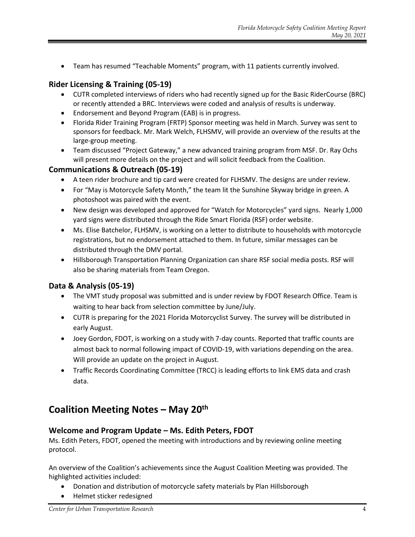• Team has resumed "Teachable Moments" program, with 11 patients currently involved.

#### **Rider Licensing & Training (05-19)**

- CUTR completed interviews of riders who had recently signed up for the Basic RiderCourse (BRC) or recently attended a BRC. Interviews were coded and analysis of results is underway.
- Endorsement and Beyond Program (EAB) is in progress.
- Florida Rider Training Program (FRTP) Sponsor meeting was held in March. Survey was sent to sponsors for feedback. Mr. Mark Welch, FLHSMV, will provide an overview of the results at the large-group meeting.
- Team discussed "Project Gateway," a new advanced training program from MSF. Dr. Ray Ochs will present more details on the project and will solicit feedback from the Coalition.

#### **Communications & Outreach (05-19)**

- A teen rider brochure and tip card were created for FLHSMV. The designs are under review.
- For "May is Motorcycle Safety Month," the team lit the Sunshine Skyway bridge in green. A photoshoot was paired with the event.
- New design was developed and approved for "Watch for Motorcycles" yard signs. Nearly 1,000 yard signs were distributed through the Ride Smart Florida (RSF) order website.
- Ms. Elise Batchelor, FLHSMV, is working on a letter to distribute to households with motorcycle registrations, but no endorsement attached to them. In future, similar messages can be distributed through the DMV portal.
- Hillsborough Transportation Planning Organization can share RSF social media posts. RSF will also be sharing materials from Team Oregon.

#### **Data & Analysis (05-19)**

- The VMT study proposal was submitted and is under review by FDOT Research Office. Team is waiting to hear back from selection committee by June/July.
- CUTR is preparing for the 2021 Florida Motorcyclist Survey. The survey will be distributed in early August.
- Joey Gordon, FDOT, is working on a study with 7-day counts. Reported that traffic counts are almost back to normal following impact of COVID-19, with variations depending on the area. Will provide an update on the project in August.
- Traffic Records Coordinating Committee (TRCC) is leading efforts to link EMS data and crash data.

#### **Coalition Meeting Notes – May 20th**

#### **Welcome and Program Update – Ms. Edith Peters, FDOT**

Ms. Edith Peters, FDOT, opened the meeting with introductions and by reviewing online meeting protocol.

An overview of the Coalition's achievements since the August Coalition Meeting was provided. The highlighted activities included:

- Donation and distribution of motorcycle safety materials by Plan Hillsborough
- Helmet sticker redesigned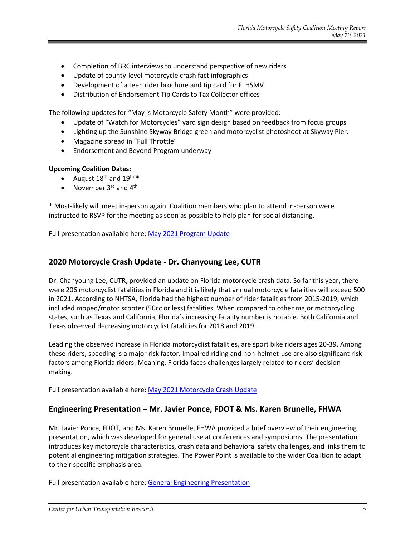- Completion of BRC interviews to understand perspective of new riders
- Update of county-level motorcycle crash fact infographics
- Development of a teen rider brochure and tip card for FLHSMV
- Distribution of Endorsement Tip Cards to Tax Collector offices

The following updates for "May is Motorcycle Safety Month" were provided:

- Update of "Watch for Motorcycles" yard sign design based on feedback from focus groups
- Lighting up the Sunshine Skyway Bridge green and motorcyclist photoshoot at Skyway Pier.
- Magazine spread in "Full Throttle"
- Endorsement and Beyond Program underway

#### **Upcoming Coalition Dates:**

- August  $18^{th}$  and  $19^{th}$  \*
- November 3<sup>rd</sup> and 4<sup>th</sup>

\* Most-likely will meet in-person again. Coalition members who plan to attend in-person were instructed to RSVP for the meeting as soon as possible to help plan for social distancing.

Full presentation available here: [May 2021 Program Update](https://ridesmartflorida.com/?post_type=sdm_downloads&p=10180&preview=true)

#### **2020 Motorcycle Crash Update - Dr. Chanyoung Lee, CUTR**

Dr. Chanyoung Lee, CUTR, provided an update on Florida motorcycle crash data. So far this year, there were 206 motorcyclist fatalities in Florida and it is likely that annual motorcycle fatalities will exceed 500 in 2021. According to NHTSA, Florida had the highest number of rider fatalities from 2015-2019, which included moped/motor scooter (50cc or less) fatalities. When compared to other major motorcycling states, such as Texas and California, Florida's increasing fatality number is notable. Both California and Texas observed decreasing motorcyclist fatalities for 2018 and 2019.

Leading the observed increase in Florida motorcyclist fatalities, are sport bike riders ages 20-39. Among these riders, speeding is a major risk factor. Impaired riding and non-helmet-use are also significant risk factors among Florida riders. Meaning, Florida faces challenges largely related to riders' decision making.

Full presentation available here: [May 2021 Motorcycle Crash Update](https://ridesmartflorida.com/?post_type=sdm_downloads&p=10181&preview=true)

#### **Engineering Presentation – Mr. Javier Ponce, FDOT & Ms. Karen Brunelle, FHWA**

Mr. Javier Ponce, FDOT, and Ms. Karen Brunelle, FHWA provided a brief overview of their engineering presentation, which was developed for general use at conferences and symposiums. The presentation introduces key motorcycle characteristics, crash data and behavioral safety challenges, and links them to potential engineering mitigation strategies. The Power Point is available to the wider Coalition to adapt to their specific emphasis area.

Full presentation available here: [General Engineering Presentation](https://nam04.safelinks.protection.outlook.com/?url=https%3A%2F%2Fridesmartflorida.com%2Farchives%2Fsdm_downloads%2Fmc-safety-for-engineers-jp-kb&data=04%7C01%7Csavanaw%40cutr.usf.edu%7C59a0973f30d842441ba608d91fb3f988%7C741bf7dee2e546df8d6782607df9deaa%7C0%7C0%7C637575680101188989%7CUnknown%7CTWFpbGZsb3d8eyJWIjoiMC4wLjAwMDAiLCJQIjoiV2luMzIiLCJBTiI6Ik1haWwiLCJXVCI6Mn0%3D%7C1000&sdata=dmncYipd97YotPelPUpM5yrPy0ALrWw5u9aZZ0qPJXA%3D&reserved=0)